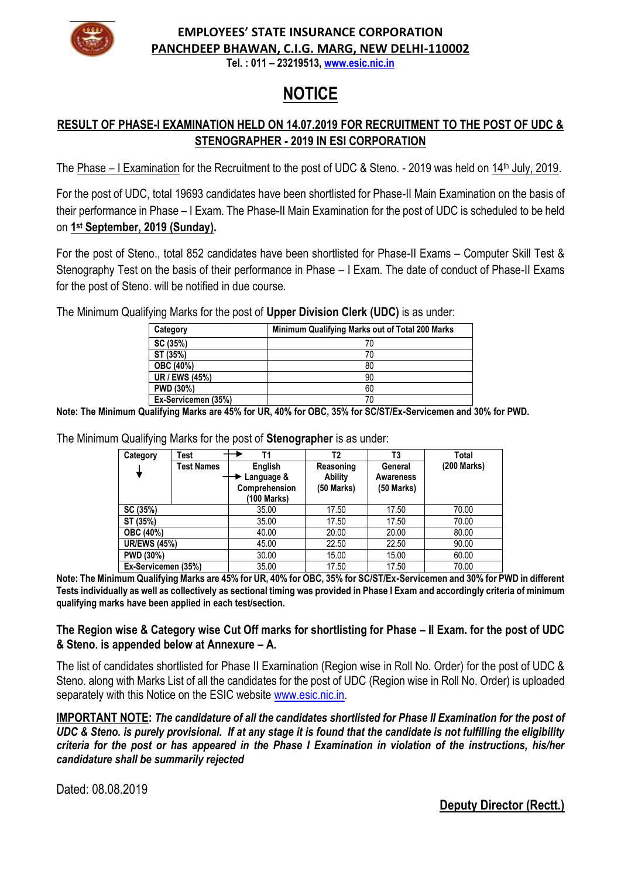

**Tel. : 011 – 23219513, [www.esic.nic.in](http://www.esic.nic.in/)**

# **NOTICE**

## **RESULT OF PHASE-I EXAMINATION HELD ON 14.07.2019 FOR RECRUITMENT TO THE POST OF UDC & STENOGRAPHER - 2019 IN ESI CORPORATION**

The Phase – I Examination for the Recruitment to the post of UDC & Steno. - 2019 was held on 14<sup>th</sup> July, 2019.

For the post of UDC, total 19693 candidates have been shortlisted for Phase-II Main Examination on the basis of their performance in Phase – I Exam. The Phase-II Main Examination for the post of UDC is scheduled to be held on **1 st September, 2019 (Sunday).** 

For the post of Steno., total 852 candidates have been shortlisted for Phase-II Exams – Computer Skill Test & Stenography Test on the basis of their performance in Phase – I Exam. The date of conduct of Phase-II Exams for the post of Steno. will be notified in due course.

The Minimum Qualifying Marks for the post of **Upper Division Clerk (UDC)** is as under:

| Category            | Minimum Qualifying Marks out of Total 200 Marks |  |  |  |  |  |
|---------------------|-------------------------------------------------|--|--|--|--|--|
| SC (35%)            |                                                 |  |  |  |  |  |
| ST (35%)            | 70                                              |  |  |  |  |  |
| <b>OBC (40%)</b>    | 80                                              |  |  |  |  |  |
| UR / EWS (45%)      | 90                                              |  |  |  |  |  |
| PWD (30%)           | 60                                              |  |  |  |  |  |
| Ex-Servicemen (35%) |                                                 |  |  |  |  |  |

**Note: The Minimum Qualifying Marks are 45% for UR, 40% for OBC, 35% for SC/ST/Ex-Servicemen and 30% for PWD.**

| Category            | Test              | Τ1                                                      | T2                                          | T3                                   | Total       |  |
|---------------------|-------------------|---------------------------------------------------------|---------------------------------------------|--------------------------------------|-------------|--|
|                     | <b>Test Names</b> | English<br>► Language &<br>Comprehension<br>(100 Marks) | Reasoning<br><b>Ability</b><br>$(50$ Marks) | General<br>Awareness<br>$(50$ Marks) | (200 Marks) |  |
| SC (35%)            |                   | 35.00                                                   | 17.50                                       | 17.50                                | 70.00       |  |
| ST (35%)            |                   | 35.00                                                   | 17.50                                       | 17.50                                | 70.00       |  |
| <b>OBC (40%)</b>    |                   | 40.00                                                   | 20.00                                       | 20.00                                | 80.00       |  |
| <b>UR/EWS (45%)</b> |                   | 45.00                                                   | 22.50                                       | 22.50                                | 90.00       |  |
| PWD (30%)           |                   | 30.00                                                   | 15.00                                       | 15.00                                | 60.00       |  |
| Ex-Servicemen (35%) |                   | 35.00                                                   | 17.50                                       | 17.50                                | 70.00       |  |

The Minimum Qualifying Marks for the post of **Stenographer** is as under:

**Note: The Minimum Qualifying Marks are 45% for UR, 40% for OBC, 35% for SC/ST/Ex-Servicemen and 30% for PWD in different Tests individually as well as collectively as sectional timing was provided in Phase I Exam and accordingly criteria of minimum qualifying marks have been applied in each test/section.**

#### **The Region wise & Category wise Cut Off marks for shortlisting for Phase – II Exam. for the post of UDC & Steno. is appended below at Annexure – A.**

The list of candidates shortlisted for Phase II Examination (Region wise in Roll No. Order) for the post of UDC & Steno. along with Marks List of all the candidates for the post of UDC (Region wise in Roll No. Order) is uploaded separately with this Notice on the ESIC website [www.esic.nic.in.](http://www.esic.nic.in/)

**IMPORTANT NOTE:** *The candidature of all the candidates shortlisted for Phase II Examination for the post of UDC & Steno. is purely provisional. If at any stage it is found that the candidate is not fulfilling the eligibility criteria for the post or has appeared in the Phase I Examination in violation of the instructions, his/her candidature shall be summarily rejected*

Dated: 08.08.2019

## **Deputy Director (Rectt.)**